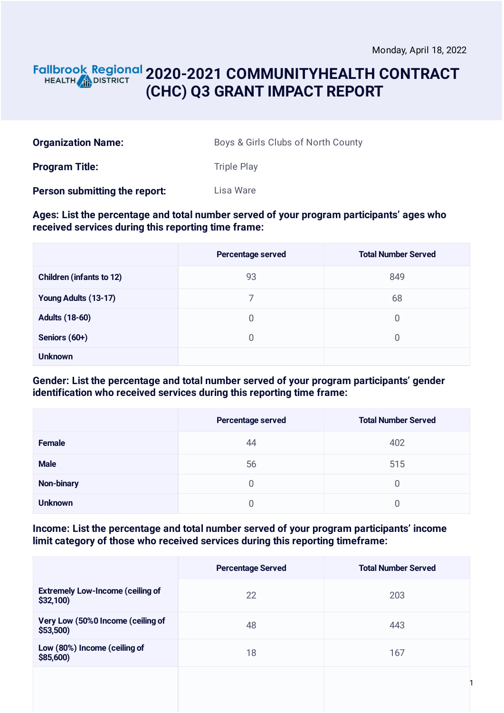1

#### **2020-2021 COMMUNITYHEALTH CONTRACT** HEALTH **AND DISTRICT (CHC) Q3 GRANT IMPACT REPORT**

| <b>Organization Name:</b> | Boys & Girls Clubs of North County |
|---------------------------|------------------------------------|
| <b>Program Title:</b>     | Triple Play                        |

**Person submitting the report:** Lisa Ware

#### **Ages: List the percentage and total number served of your program participants' ages who received services during this reporting time frame:**

|                                 | <b>Percentage served</b> | <b>Total Number Served</b> |
|---------------------------------|--------------------------|----------------------------|
| <b>Children (infants to 12)</b> | 93                       | 849                        |
| Young Adults (13-17)            | 7                        | 68                         |
| <b>Adults (18-60)</b>           | 0                        | 0                          |
| Seniors (60+)                   | 0                        | 0                          |
| <b>Unknown</b>                  |                          |                            |

#### **Gender: List the percentage and total number served of your program participants' gender identification who received services during this reporting time frame:**

|                | Percentage served | <b>Total Number Served</b> |
|----------------|-------------------|----------------------------|
| <b>Female</b>  | 44                | 402                        |
| <b>Male</b>    | 56                | 515                        |
| Non-binary     | 0                 | 0                          |
| <b>Unknown</b> |                   |                            |

#### **Income: List the percentage and total number served of your program participants' income limit category of those who received services during this reporting timeframe:**

|                                                     | <b>Percentage Served</b> | <b>Total Number Served</b> |
|-----------------------------------------------------|--------------------------|----------------------------|
| <b>Extremely Low-Income (ceiling of</b><br>\$32,100 | 22                       | 203                        |
| Very Low (50%0 Income (ceiling of<br>\$53,500       | 48                       | 443                        |
| Low (80%) Income (ceiling of<br>\$85,600            | 18                       | 167                        |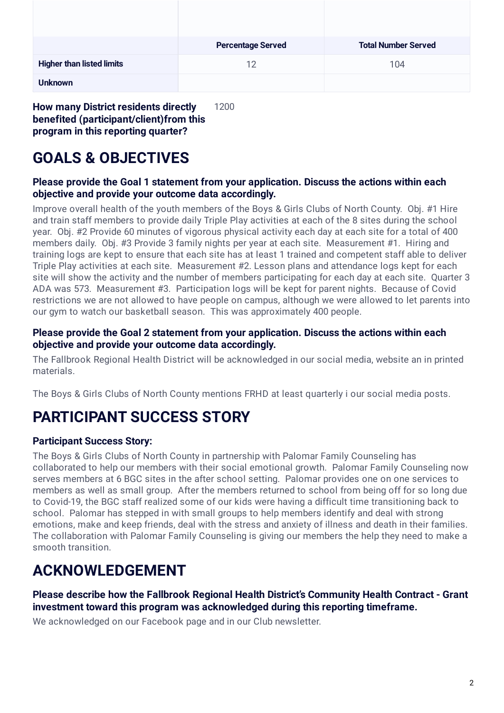|                                  | <b>Percentage Served</b> | <b>Total Number Served</b> |
|----------------------------------|--------------------------|----------------------------|
| <b>Higher than listed limits</b> | 12                       | 104                        |
| <b>Unknown</b>                   |                          |                            |

**How many District residents directly benefited (participant/client)from this program in this reporting quarter?** 1200

# **GOALS & OBJECTIVES**

#### **Please provide the Goal 1 statement from your application. Discuss the actions within each objective and provide your outcome data accordingly.**

Improve overall health of the youth members of the Boys & Girls Clubs of North County. Obj. #1 Hire and train staff members to provide daily Triple Play activities at each of the 8 sites during the school year. Obj. #2 Provide 60 minutes of vigorous physical activity each day at each site for a total of 400 members daily. Obj. #3 Provide 3 family nights per year at each site. Measurement #1. Hiring and training logs are kept to ensure that each site has at least 1 trained and competent staff able to deliver Triple Play activities at each site. Measurement #2. Lesson plans and attendance logs kept for each site will show the activity and the number of members participating for each day at each site. Quarter 3 ADA was 573. Measurement #3. Participation logs will be kept for parent nights. Because of Covid restrictions we are not allowed to have people on campus, although we were allowed to let parents into our gym to watch our basketball season. This was approximately 400 people.

#### **Please provide the Goal 2 statement from your application. Discuss the actions within each objective and provide your outcome data accordingly.**

The Fallbrook Regional Health District will be acknowledged in our social media, website an in printed materials.

The Boys & Girls Clubs of North County mentions FRHD at least quarterly i our social media posts.

## **PARTICIPANT SUCCESS STORY**

#### **Participant Success Story:**

The Boys & Girls Clubs of North County in partnership with Palomar Family Counseling has collaborated to help our members with their social emotional growth. Palomar Family Counseling now serves members at 6 BGC sites in the after school setting. Palomar provides one on one services to members as well as small group. After the members returned to school from being off for so long due to Covid-19, the BGC staff realized some of our kids were having a difficult time transitioning back to school. Palomar has stepped in with small groups to help members identify and deal with strong emotions, make and keep friends, deal with the stress and anxiety of illness and death in their families. The collaboration with Palomar Family Counseling is giving our members the help they need to make a smooth transition.

## **ACKNOWLEDGEMENT**

**Please describe how the Fallbrook Regional Health District's Community Health Contract - Grant investment toward this program was acknowledged during this reporting timeframe.**

We acknowledged on our Facebook page and in our Club newsletter.